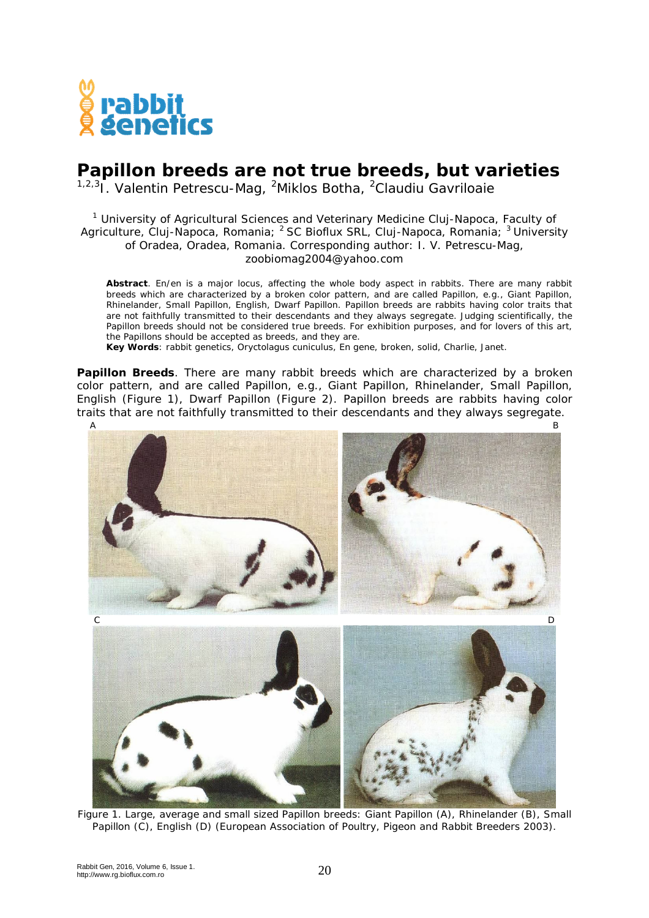

## **Papillon breeds are not true breeds, but varieties**

<sup>1,2,3</sup>I. Valentin Petrescu-Mag, <sup>2</sup>Miklos Botha, <sup>2</sup>Claudiu Gavriloaie

## <sup>1</sup> University of Agricultural Sciences and Veterinary Medicine Cluj-Napoca, Faculty of Agriculture, Cluj-Napoca, Romania; <sup>2</sup> SC Bioflux SRL, Cluj-Napoca, Romania; <sup>3</sup> University of Oradea, Oradea, Romania. Corresponding author: I. V. Petrescu-Mag, zoobiomag2004@yahoo.com

**Abstract**. En/en is a major locus, affecting the whole body aspect in rabbits. There are many rabbit breeds which are characterized by a broken color pattern, and are called Papillon, e.g., Giant Papillon, Rhinelander, Small Papillon, English, Dwarf Papillon. Papillon breeds are rabbits having color traits that are not faithfully transmitted to their descendants and they always segregate. Judging scientifically, the Papillon breeds should not be considered true breeds. For exhibition purposes, and for lovers of this art, the Papillons should be accepted as breeds, and they are.

**Key Words**: rabbit genetics, *Oryctolagus cuniculus*, En gene, broken, solid, Charlie, Janet.

**Papillon Breeds**. There are many rabbit breeds which are characterized by a broken color pattern, and are called Papillon, e.g., Giant Papillon, Rhinelander, Small Papillon, English (Figure 1), Dwarf Papillon (Figure 2). Papillon breeds are rabbits having color traits that are not faithfully transmitted to their descendants and they always segregate.



Figure 1. Large, average and small sized Papillon breeds: Giant Papillon (A), Rhinelander (B), Small Papillon (C), English (D) (European Association of Poultry, Pigeon and Rabbit Breeders 2003).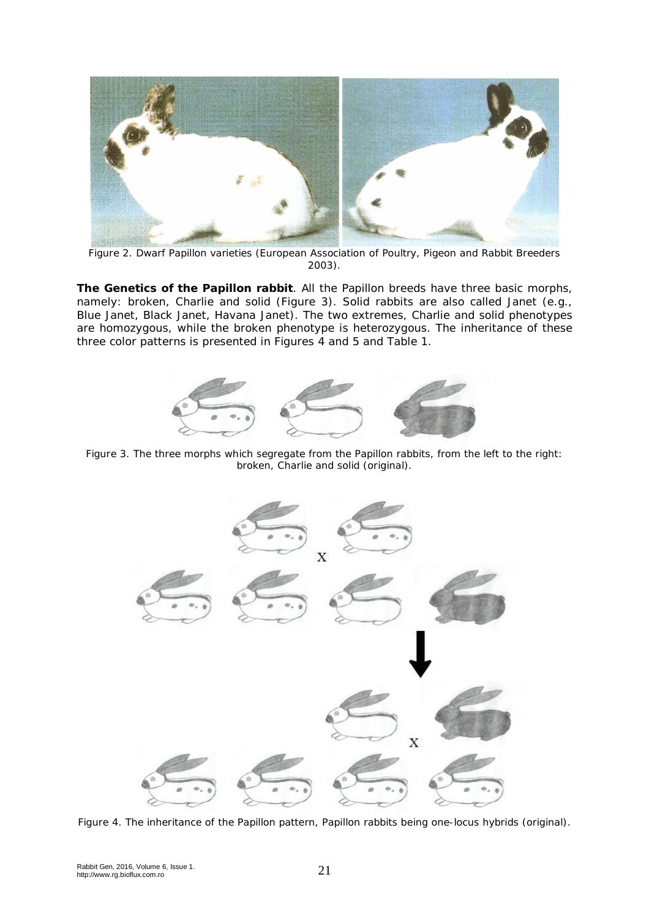

Figure 2. Dwarf Papillon varieties (European Association of Poultry, Pigeon and Rabbit Breeders 2003).

**The Genetics of the Papillon rabbit**. All the Papillon breeds have three basic morphs, namely: broken, Charlie and solid (Figure 3). Solid rabbits are also called Janet (e.g., Blue Janet, Black Janet, Havana Janet). The two extremes, Charlie and solid phenotypes are homozygous, while the broken phenotype is heterozygous. The inheritance of these three color patterns is presented in Figures 4 and 5 and Table 1.



Figure 3. The three morphs which segregate from the Papillon rabbits, from the left to the right: broken, Charlie and solid (original).



Figure 4. The inheritance of the Papillon pattern, Papillon rabbits being one-locus hybrids (original).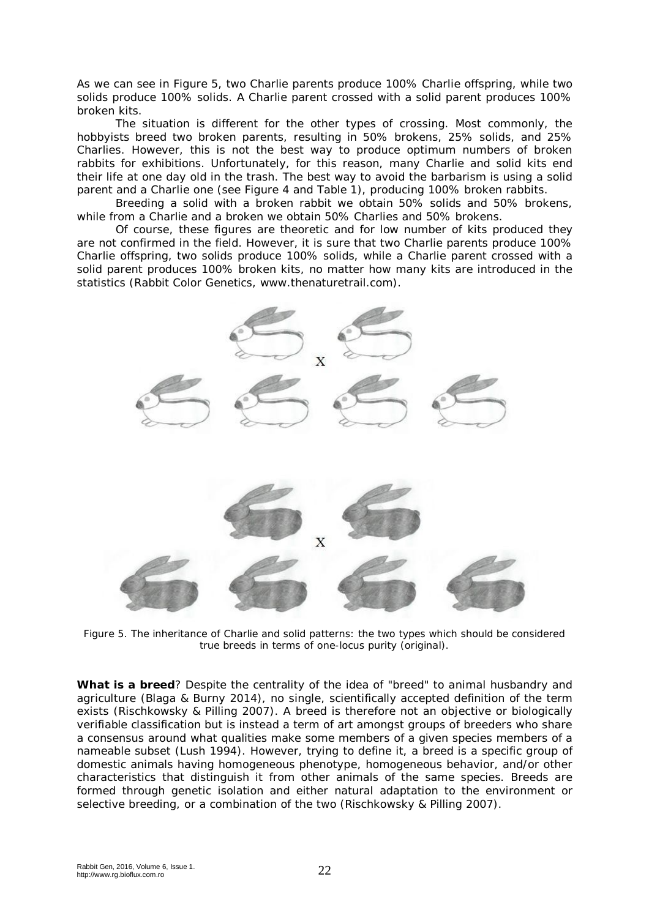As we can see in Figure 5, two Charlie parents produce 100% Charlie offspring, while two solids produce 100% solids. A Charlie parent crossed with a solid parent produces 100% broken kits.

The situation is different for the other types of crossing. Most commonly, the hobbyists breed two broken parents, resulting in 50% brokens, 25% solids, and 25% Charlies. However, this is not the best way to produce optimum numbers of broken rabbits for exhibitions. Unfortunately, for this reason, many Charlie and solid kits end their life at one day old in the trash. The best way to avoid the barbarism is using a solid parent and a Charlie one (see Figure 4 and Table 1), producing 100% broken rabbits.

Breeding a solid with a broken rabbit we obtain 50% solids and 50% brokens, while from a Charlie and a broken we obtain 50% Charlies and 50% brokens.

Of course, these figures are theoretic and for low number of kits produced they are not confirmed in the field. However, it is sure that two Charlie parents produce 100% Charlie offspring, two solids produce 100% solids, while a Charlie parent crossed with a solid parent produces 100% broken kits, no matter how many kits are introduced in the statistics (Rabbit Color Genetics, www.thenaturetrail.com).



Figure 5. The inheritance of Charlie and solid patterns: the two types which should be considered true breeds in terms of one-locus purity (original).

**What is a breed**? Despite the centrality of the idea of "breed" to animal husbandry and agriculture (Blaga & Burny 2014), no single, scientifically accepted definition of the term exists (Rischkowsky & Pilling 2007). A breed is therefore not an objective or biologically verifiable classification but is instead a term of art amongst groups of breeders who share a consensus around what qualities make some members of a given species members of a nameable subset (Lush 1994). However, trying to define it, a breed is a specific group of domestic animals having homogeneous phenotype, homogeneous behavior, and/or other characteristics that distinguish it from other animals of the same species. Breeds are formed through genetic isolation and either natural adaptation to the environment or selective breeding, or a combination of the two (Rischkowsky & Pilling 2007).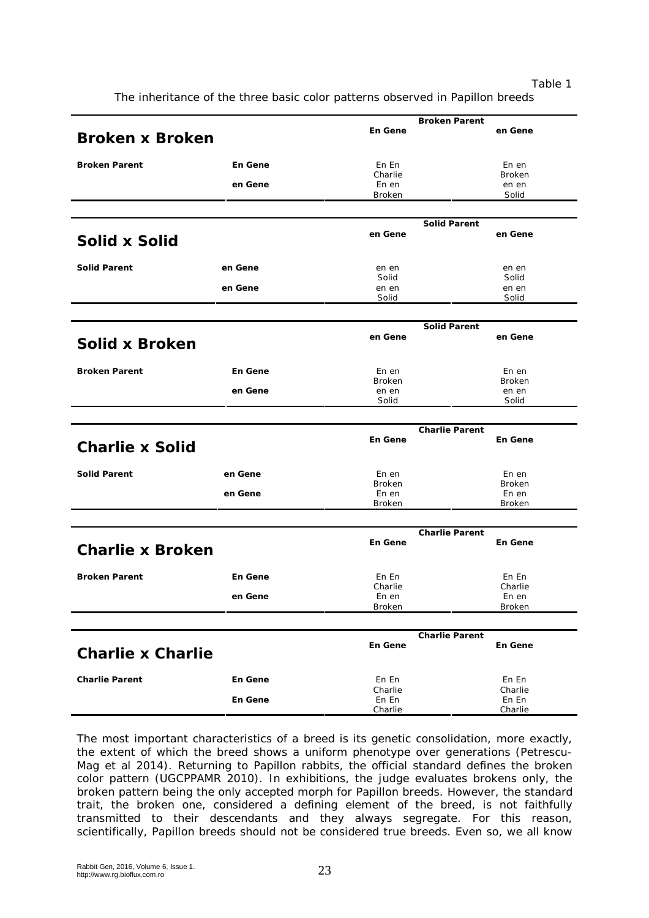Table 1

The inheritance of the three basic color patterns observed in Papillon breeds

|                          |         |                       | <b>Broken Parent</b>  |  |
|--------------------------|---------|-----------------------|-----------------------|--|
| <b>Broken x Broken</b>   |         | En Gene               | en Gene               |  |
|                          |         |                       |                       |  |
|                          |         |                       |                       |  |
| <b>Broken Parent</b>     | En Gene | En En                 | En en                 |  |
|                          |         | Charlie               | <b>Broken</b>         |  |
|                          | en Gene | En en                 | en en                 |  |
|                          |         | <b>Broken</b>         | Solid                 |  |
|                          |         |                       |                       |  |
|                          |         |                       | <b>Solid Parent</b>   |  |
|                          |         | en Gene               | en Gene               |  |
| <b>Solid x Solid</b>     |         |                       |                       |  |
|                          |         |                       |                       |  |
|                          |         |                       |                       |  |
| <b>Solid Parent</b>      | en Gene | en en                 | en en                 |  |
|                          |         | Solid                 | Solid                 |  |
|                          | en Gene | en en                 | en en                 |  |
|                          |         | Solid                 | Solid                 |  |
|                          |         |                       |                       |  |
|                          |         | <b>Solid Parent</b>   |                       |  |
|                          |         | en Gene               | en Gene               |  |
| Solid x Broken           |         |                       |                       |  |
|                          |         |                       |                       |  |
|                          |         |                       |                       |  |
| <b>Broken Parent</b>     | En Gene | En en                 | En en                 |  |
|                          |         | Broken                | <b>Broken</b>         |  |
|                          | en Gene | en en                 | en en                 |  |
|                          |         | Solid                 | Solid                 |  |
|                          |         |                       |                       |  |
|                          |         |                       |                       |  |
|                          |         |                       |                       |  |
|                          |         |                       | <b>Charlie Parent</b> |  |
| <b>Charlie x Solid</b>   |         | En Gene               | En Gene               |  |
|                          |         |                       |                       |  |
|                          |         |                       |                       |  |
| <b>Solid Parent</b>      | en Gene | En en                 | En en                 |  |
|                          |         | Broken                | <b>Broken</b>         |  |
|                          | en Gene | En en                 | En en                 |  |
|                          |         | Broken                | <b>Broken</b>         |  |
|                          |         |                       |                       |  |
|                          |         |                       | <b>Charlie Parent</b> |  |
|                          |         | En Gene               | En Gene               |  |
| <b>Charlie x Broken</b>  |         |                       |                       |  |
|                          |         |                       |                       |  |
|                          |         |                       |                       |  |
| <b>Broken Parent</b>     | En Gene | En En                 | En En                 |  |
|                          |         | Charlie               | Charlie               |  |
|                          | en Gene | En en                 | En en                 |  |
|                          |         | Broken                | <b>Broken</b>         |  |
|                          |         |                       |                       |  |
|                          |         | <b>Charlie Parent</b> |                       |  |
|                          |         | En Gene               | <b>En Gene</b>        |  |
| <b>Charlie x Charlie</b> |         |                       |                       |  |
|                          |         |                       |                       |  |
| <b>Charlie Parent</b>    | En Gene | En En                 | En En                 |  |
|                          |         | Charlie               |                       |  |
|                          | En Gene | En En                 | Charlie<br>En En      |  |
|                          |         | Charlie               | Charlie               |  |

The most important characteristics of a breed is its genetic consolidation, more exactly, the extent of which the breed shows a uniform phenotype over generations (Petrescu-Mag et al 2014). Returning to Papillon rabbits, the official standard defines the broken color pattern (UGCPPAMR 2010). In exhibitions, the judge evaluates brokens only, the broken pattern being the only accepted morph for Papillon breeds. However, the standard trait, the broken one, considered a defining element of the breed, is not faithfully transmitted to their descendants and they always segregate. For this reason, scientifically, Papillon breeds should not be considered true breeds. Even so, we all know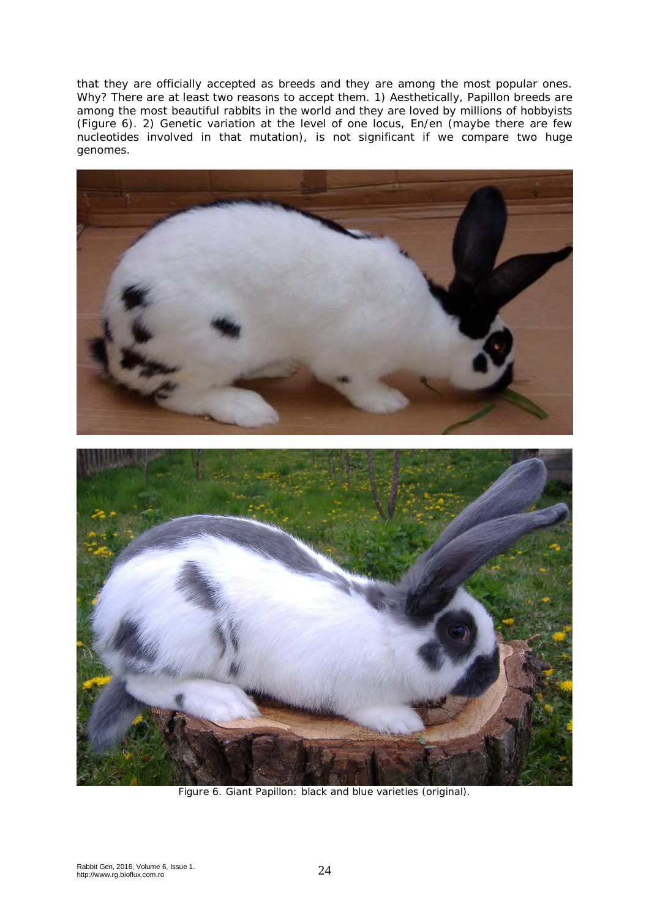that they are officially accepted as breeds and they are among the most popular ones. Why? There are at least two reasons to accept them. 1) Aesthetically, Papillon breeds are among the most beautiful rabbits in the world and they are loved by millions of hobbyists (Figure 6). 2) Genetic variation at the level of one locus, En/en (maybe there are few nucleotides involved in that mutation), is not significant if we compare two huge genomes.



Figure 6. Giant Papillon: black and blue varieties (original).